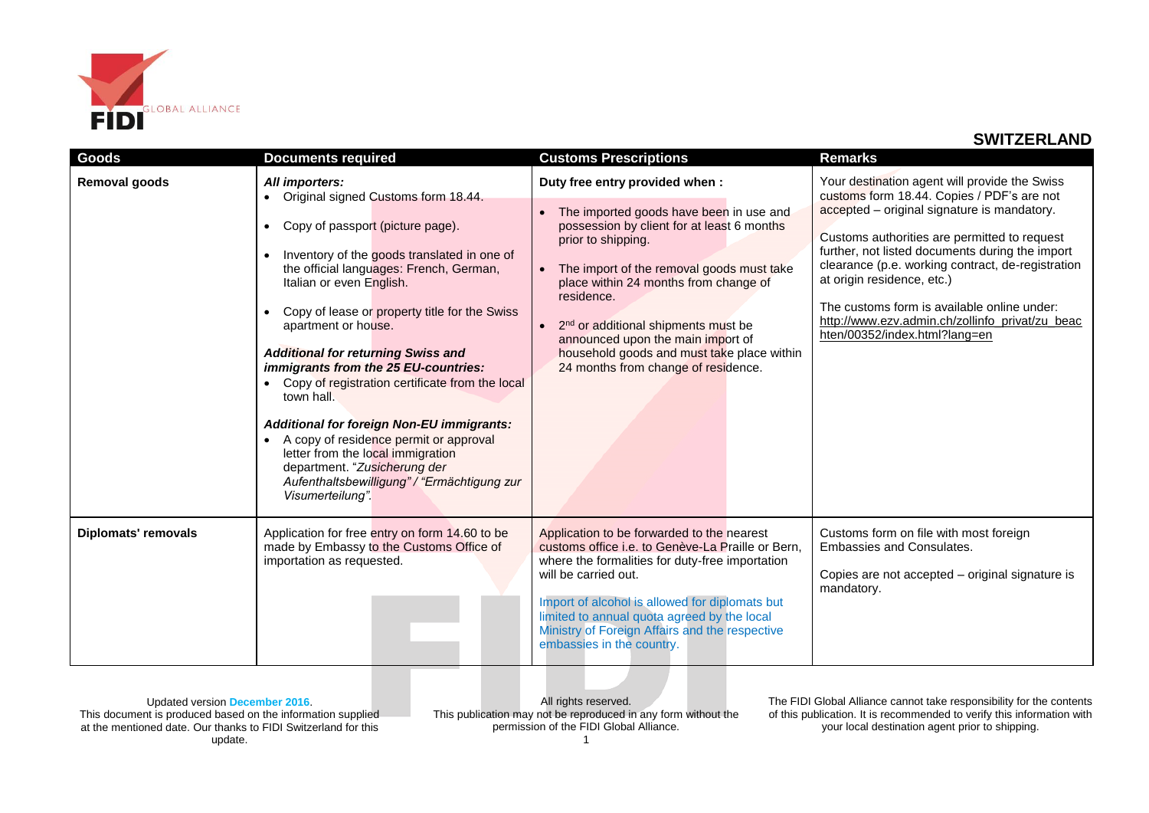

| <b>Goods</b>               | <b>Documents required</b>                                                                                                                                                                                                                                                                                                                                                                                                                                                                                                                                                                                                                                                           | <b>Customs Prescriptions</b>                                                                                                                                                                                                                                                                                                                                                                                                    | <b>Remarks</b>                                                                                                                                                                                                                                                                                                                                                                                                                                                      |
|----------------------------|-------------------------------------------------------------------------------------------------------------------------------------------------------------------------------------------------------------------------------------------------------------------------------------------------------------------------------------------------------------------------------------------------------------------------------------------------------------------------------------------------------------------------------------------------------------------------------------------------------------------------------------------------------------------------------------|---------------------------------------------------------------------------------------------------------------------------------------------------------------------------------------------------------------------------------------------------------------------------------------------------------------------------------------------------------------------------------------------------------------------------------|---------------------------------------------------------------------------------------------------------------------------------------------------------------------------------------------------------------------------------------------------------------------------------------------------------------------------------------------------------------------------------------------------------------------------------------------------------------------|
| <b>Removal goods</b>       | All importers:<br>Original signed Customs form 18.44.<br>Copy of passport (picture page).<br>Inventory of the goods translated in one of<br>the official languages: French, German,<br>Italian or even English.<br>Copy of lease or property title for the Swiss<br>apartment or house.<br><b>Additional for returning Swiss and</b><br>immigrants from the 25 EU-countries:<br>Copy of registration certificate from the local<br>town hall.<br><b>Additional for foreign Non-EU immigrants:</b><br>A copy of residence permit or approval<br>letter from the local immigration<br>department. "Zusicherung der<br>Aufenthaltsbewilligung" / "Ermächtigung zur<br>Visumerteilung". | Duty free entry provided when :<br>The imported goods have been in use and<br>possession by client for at least 6 months<br>prior to shipping.<br>The import of the removal goods must take<br>place within 24 months from change of<br>residence.<br>2 <sup>nd</sup> or additional shipments must be<br>announced upon the main import of<br>household goods and must take place within<br>24 months from change of residence. | Your destination agent will provide the Swiss<br>customs form 18.44. Copies / PDF's are not<br>accepted - original signature is mandatory.<br>Customs authorities are permitted to request<br>further, not listed documents during the import<br>clearance (p.e. working contract, de-registration<br>at origin residence, etc.)<br>The customs form is available online under:<br>http://www.ezv.admin.ch/zollinfo_privat/zu_beac<br>hten/00352/index.html?lang=en |
| <b>Diplomats' removals</b> | Application for free entry on form 14.60 to be<br>made by Embassy to the Customs Office of<br>importation as requested.                                                                                                                                                                                                                                                                                                                                                                                                                                                                                                                                                             | Application to be forwarded to the nearest<br>customs office i.e. to Genève-La Praille or Bern,<br>where the formalities for duty-free importation<br>will be carried out.<br>Import of alcohol is allowed for diplomats but<br>limited to annual quota agreed by the local<br>Ministry of Foreign Affairs and the respective<br>embassies in the country.                                                                      | Customs form on file with most foreign<br>Embassies and Consulates.<br>Copies are not accepted - original signature is<br>mandatory.                                                                                                                                                                                                                                                                                                                                |

Updated version **December 2016**. This document is produced based on the information supplied at the mentioned date. Our thanks to FIDI Switzerland for this update.

All rights reserved. This publication may not be reproduced in any form without the permission of the FIDI Global Alliance. 1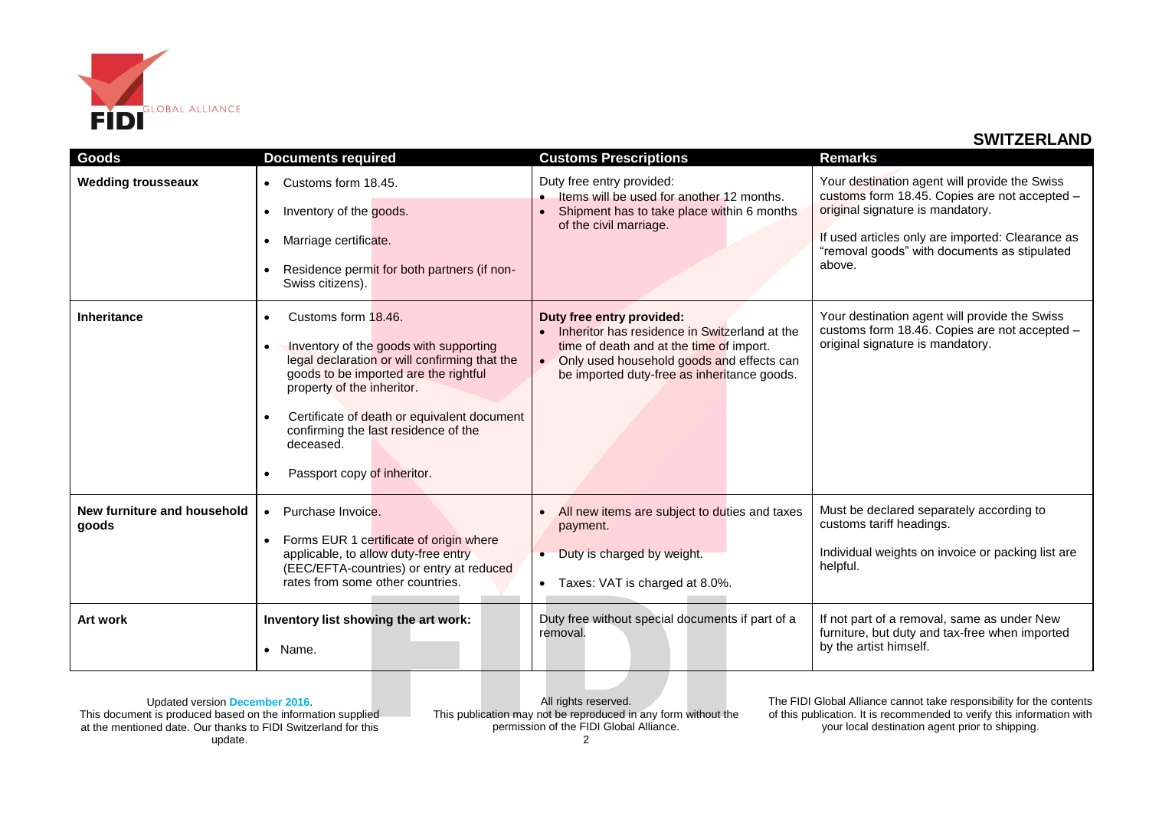

| Goods                                | <b>Documents required</b>                                                                                                                                                                                                                                                                                                                                       | <b>Customs Prescriptions</b>                                                                                                                                                                                                                 | <b>Remarks</b>                                                                                                                                                                                                                                   |
|--------------------------------------|-----------------------------------------------------------------------------------------------------------------------------------------------------------------------------------------------------------------------------------------------------------------------------------------------------------------------------------------------------------------|----------------------------------------------------------------------------------------------------------------------------------------------------------------------------------------------------------------------------------------------|--------------------------------------------------------------------------------------------------------------------------------------------------------------------------------------------------------------------------------------------------|
| <b>Wedding trousseaux</b>            | • Customs form 18.45.<br>Inventory of the goods.<br>$\bullet$<br>Marriage certificate.<br>$\bullet$<br>Residence permit for both partners (if non-<br>Swiss citizens).                                                                                                                                                                                          | Duty free entry provided:<br>Items will be used for another 12 months.<br>Shipment has to take place within 6 months<br>of the civil marriage.                                                                                               | Your destination agent will provide the Swiss<br>customs form 18.45. Copies are not accepted -<br>original signature is mandatory.<br>If used articles only are imported: Clearance as<br>"removal goods" with documents as stipulated<br>above. |
| <b>Inheritance</b>                   | Customs form 18.46.<br>$\bullet$<br>Inventory of the goods with supporting<br>$\bullet$<br>legal declaration or will confirming that the<br>goods to be imported are the rightful<br>property of the inheritor.<br>Certificate of death or equivalent document<br>$\bullet$<br>confirming the last residence of the<br>deceased.<br>Passport copy of inheritor. | Duty free entry provided:<br>Inheritor has residence in Switzerland at the<br>$\bullet$<br>time of death and at the time of import.<br>Only used household goods and effects can<br>$\bullet$<br>be imported duty-free as inheritance goods. | Your destination agent will provide the Swiss<br>customs form 18.46. Copies are not accepted -<br>original signature is mandatory.                                                                                                               |
| New furniture and household<br>goods | Purchase Invoice.<br>$\bullet$<br>Forms EUR 1 certificate of origin where<br>$\bullet$<br>applicable, to allow duty-free entry<br>(EEC/EFTA-countries) or entry at reduced<br>rates from some other countries.                                                                                                                                                  | All new items are subject to duties and taxes<br>$\bullet$<br>payment.<br>Duty is charged by weight.<br>$\bullet$<br>Taxes: VAT is charged at 8.0%.<br>$\bullet$                                                                             | Must be declared separately according to<br>customs tariff headings.<br>Individual weights on invoice or packing list are<br>helpful.                                                                                                            |
| <b>Art work</b>                      | Inventory list showing the art work:<br>$\bullet$ Name.                                                                                                                                                                                                                                                                                                         | Duty free without special documents if part of a<br>removal.                                                                                                                                                                                 | If not part of a removal, same as under New<br>furniture, but duty and tax-free when imported<br>by the artist himself.                                                                                                                          |

Updated version **December 2016**. This document is produced based on the information supplied at the mentioned date. Our thanks to FIDI Switzerland for this update.

All rights reserved. This publication may not be reproduced in any form without the permission of the FIDI Global Alliance.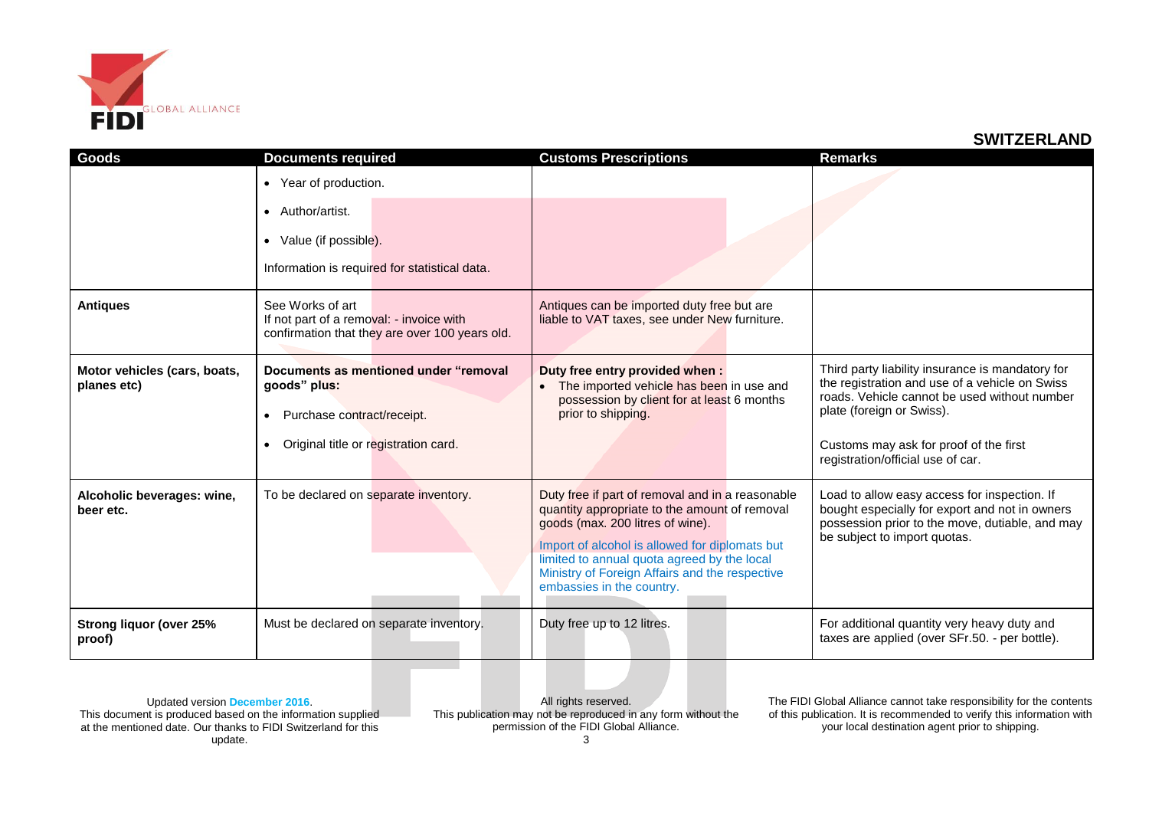

| <b>Goods</b>                                | <b>Documents required</b>                                                                                                                | <b>Customs Prescriptions</b>                                                                                                                                                                                                                                                                                          | <b>Remarks</b>                                                                                                                                                                                                                                                 |
|---------------------------------------------|------------------------------------------------------------------------------------------------------------------------------------------|-----------------------------------------------------------------------------------------------------------------------------------------------------------------------------------------------------------------------------------------------------------------------------------------------------------------------|----------------------------------------------------------------------------------------------------------------------------------------------------------------------------------------------------------------------------------------------------------------|
|                                             | • Year of production.                                                                                                                    |                                                                                                                                                                                                                                                                                                                       |                                                                                                                                                                                                                                                                |
|                                             | • Author/artist.                                                                                                                         |                                                                                                                                                                                                                                                                                                                       |                                                                                                                                                                                                                                                                |
|                                             | • Value (if possible).                                                                                                                   |                                                                                                                                                                                                                                                                                                                       |                                                                                                                                                                                                                                                                |
|                                             | Information is required for statistical data.                                                                                            |                                                                                                                                                                                                                                                                                                                       |                                                                                                                                                                                                                                                                |
| <b>Antiques</b>                             | See Works of art<br>If not part of a removal: - invoice with<br>confirmation that they are over 100 years old.                           | Antiques can be imported duty free but are<br>liable to VAT taxes, see under New furniture.                                                                                                                                                                                                                           |                                                                                                                                                                                                                                                                |
| Motor vehicles (cars, boats,<br>planes etc) | Documents as mentioned under "removal<br>goods" plus:<br>Purchase contract/receipt.<br>$\bullet$<br>Original title or registration card. | Duty free entry provided when:<br>The imported vehicle has been in use and<br>possession by client for at least 6 months<br>prior to shipping.                                                                                                                                                                        | Third party liability insurance is mandatory for<br>the registration and use of a vehicle on Swiss<br>roads. Vehicle cannot be used without number<br>plate (foreign or Swiss).<br>Customs may ask for proof of the first<br>registration/official use of car. |
| Alcoholic beverages: wine,<br>beer etc.     | To be declared on separate inventory.                                                                                                    | Duty free if part of removal and in a reasonable<br>quantity appropriate to the amount of removal<br>goods (max. 200 litres of wine).<br>Import of alcohol is allowed for diplomats but<br>limited to annual quota agreed by the local<br>Ministry of Foreign Affairs and the respective<br>embassies in the country. | Load to allow easy access for inspection. If<br>bought especially for export and not in owners<br>possession prior to the move, dutiable, and may<br>be subject to import quotas.                                                                              |
| <b>Strong liquor (over 25%</b><br>proof)    | Must be declared on separate inventory.                                                                                                  | Duty free up to 12 litres.                                                                                                                                                                                                                                                                                            | For additional quantity very heavy duty and<br>taxes are applied (over SFr.50. - per bottle).                                                                                                                                                                  |

Updated version **December 2016**. This document is produced based on the information supplied at the mentioned date. Our thanks to FIDI Switzerland for this update.

All rights reserved. This publication may not be reproduced in any form without the permission of the FIDI Global Alliance.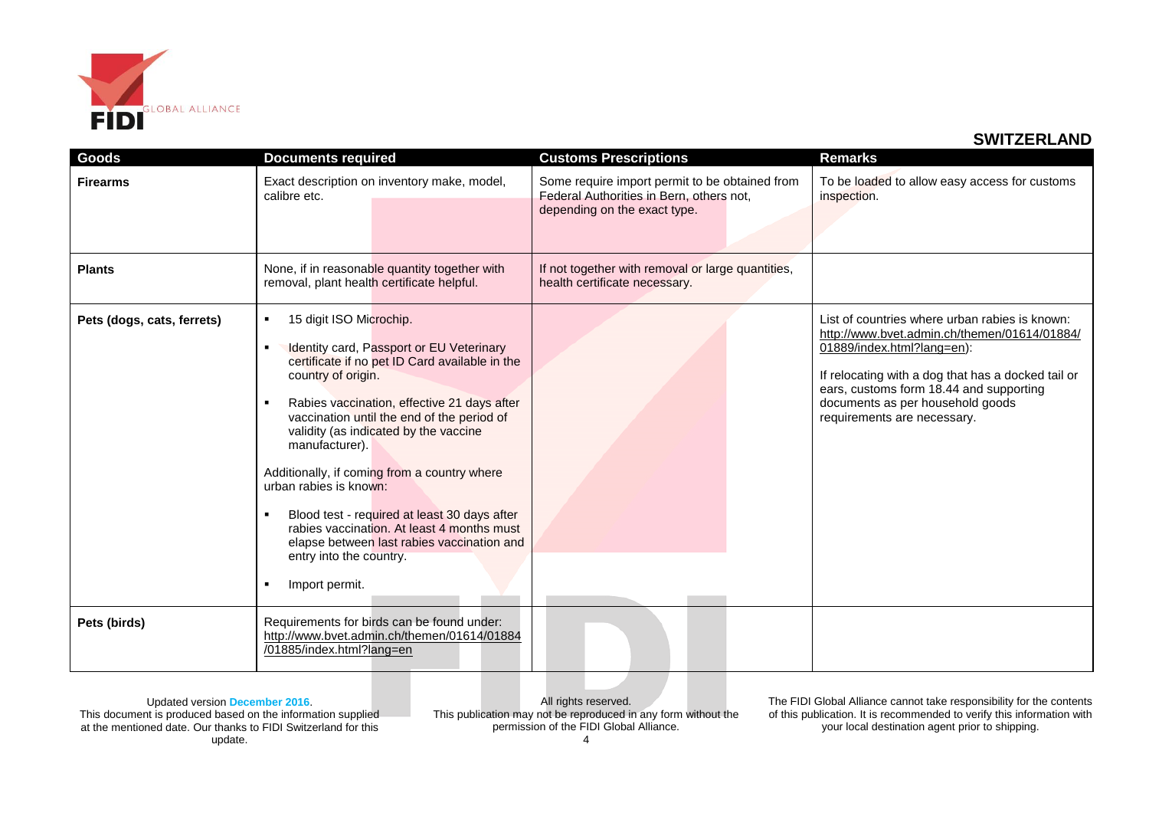

| Goods                      | <b>Documents required</b>                                                                                                                                                                                                                                                                                                                                                                                                                                                                                                                                                                                                              | <b>Customs Prescriptions</b>                                                                                               | <b>Remarks</b>                                                                                                                                                                                                                                                                                   |
|----------------------------|----------------------------------------------------------------------------------------------------------------------------------------------------------------------------------------------------------------------------------------------------------------------------------------------------------------------------------------------------------------------------------------------------------------------------------------------------------------------------------------------------------------------------------------------------------------------------------------------------------------------------------------|----------------------------------------------------------------------------------------------------------------------------|--------------------------------------------------------------------------------------------------------------------------------------------------------------------------------------------------------------------------------------------------------------------------------------------------|
| <b>Firearms</b>            | Exact description on inventory make, model,<br>calibre etc.                                                                                                                                                                                                                                                                                                                                                                                                                                                                                                                                                                            | Some require import permit to be obtained from<br>Federal Authorities in Bern, others not,<br>depending on the exact type. | To be loaded to allow easy access for customs<br>inspection.                                                                                                                                                                                                                                     |
| <b>Plants</b>              | None, if in reasonable quantity together with<br>removal, plant health certificate helpful.                                                                                                                                                                                                                                                                                                                                                                                                                                                                                                                                            | If not together with removal or large quantities,<br>health certificate necessary.                                         |                                                                                                                                                                                                                                                                                                  |
| Pets (dogs, cats, ferrets) | 15 digit ISO Microchip.<br>$\blacksquare$<br>Identity card, Passport or EU Veterinary<br>$\blacksquare$<br>certificate if no pet ID Card available in the<br>country of origin.<br>Rabies vaccination, effective 21 days after<br>$\blacksquare$<br>vaccination until the end of the period of<br>validity (as indicated by the vaccine<br>manufacturer).<br>Additionally, if coming from a country where<br>urban rabies is known:<br>Blood test - required at least 30 days after<br>٠<br>rabies vaccination. At least 4 months must<br>elapse between last rabies vaccination and<br>entry into the country.<br>Import permit.<br>٠ |                                                                                                                            | List of countries where urban rabies is known:<br>http://www.bvet.admin.ch/themen/01614/01884/<br>01889/index.html?lang=en):<br>If relocating with a dog that has a docked tail or<br>ears, customs form 18.44 and supporting<br>documents as per household goods<br>requirements are necessary. |
| Pets (birds)               | Requirements for birds can be found under:<br>http://www.bvet.admin.ch/themen/01614/01884<br>/01885/index.html?lang=en                                                                                                                                                                                                                                                                                                                                                                                                                                                                                                                 |                                                                                                                            |                                                                                                                                                                                                                                                                                                  |

Updated version **December 2016**. This document is produced based on the information supplied at the mentioned date. Our thanks to FIDI Switzerland for this update.

All rights reserved. This publication may not be reproduced in any form without the permission of the FIDI Global Alliance. 4